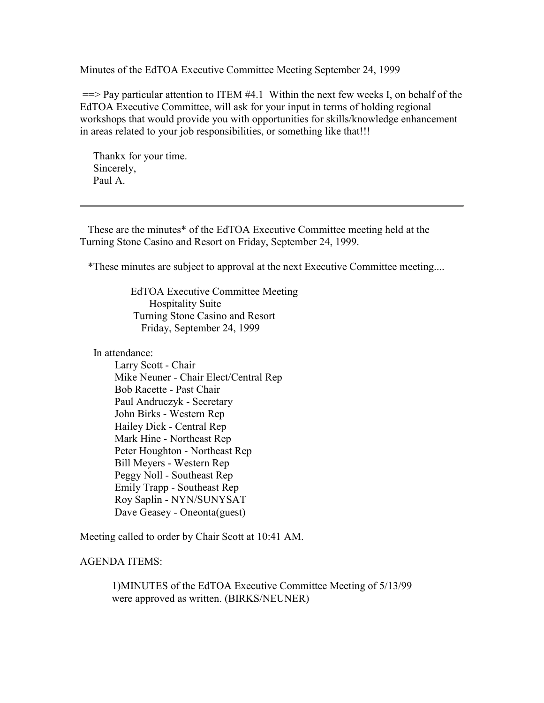Minutes of the EdTOA Executive Committee Meeting September 24, 1999

 $=$  Pay particular attention to ITEM  $#4.1$  Within the next few weeks I, on behalf of the EdTOA Executive Committee, will ask for your input in terms of holding regional workshops that would provide you with opportunities for skills/knowledge enhancement in areas related to your job responsibilities, or something like that!!!

 Thankx for your time. Sincerely, Paul A.

 These are the minutes\* of the EdTOA Executive Committee meeting held at the Turning Stone Casino and Resort on Friday, September 24, 1999.

\*These minutes are subject to approval at the next Executive Committee meeting....

 EdTOA Executive Committee Meeting Hospitality Suite Turning Stone Casino and Resort Friday, September 24, 1999

In attendance:

 Larry Scott - Chair Mike Neuner - Chair Elect/Central Rep Bob Racette - Past Chair Paul Andruczyk - Secretary John Birks - Western Rep Hailey Dick - Central Rep Mark Hine - Northeast Rep Peter Houghton - Northeast Rep Bill Meyers - Western Rep Peggy Noll - Southeast Rep Emily Trapp - Southeast Rep Roy Saplin - NYN/SUNYSAT Dave Geasey - Oneonta(guest)

Meeting called to order by Chair Scott at 10:41 AM.

### AGENDA ITEMS:

1)MINUTES of the EdTOA Executive Committee Meeting of 5/13/99 were approved as written. (BIRKS/NEUNER)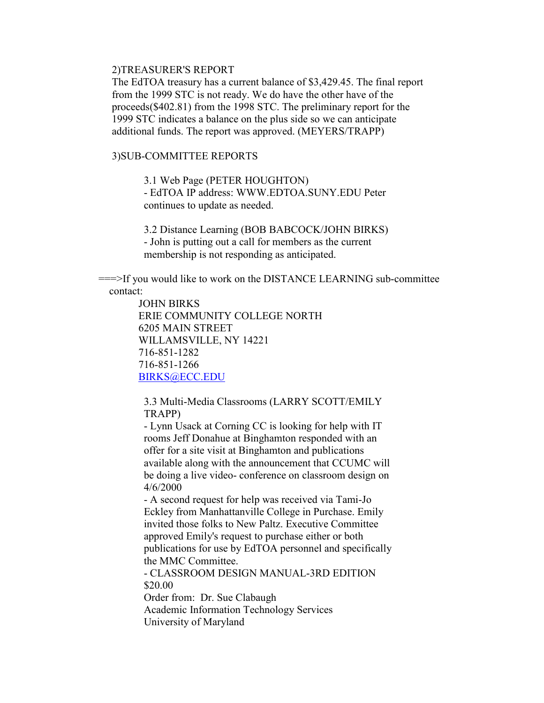#### 2)TREASURER'S REPORT

The EdTOA treasury has a current balance of \$3,429.45. The final report from the 1999 STC is not ready. We do have the other have of the proceeds(\$402.81) from the 1998 STC. The preliminary report for the 1999 STC indicates a balance on the plus side so we can anticipate additional funds. The report was approved. (MEYERS/TRAPP)

### 3)SUB-COMMITTEE REPORTS

3.1 Web Page (PETER HOUGHTON)

- EdTOA IP address: WWW.EDTOA.SUNY.EDU Peter continues to update as needed.

3.2 Distance Learning (BOB BABCOCK/JOHN BIRKS) - John is putting out a call for members as the current membership is not responding as anticipated.

 ===>If you would like to work on the DISTANCE LEARNING sub-committee contact:

> JOHN BIRKS ERIE COMMUNITY COLLEGE NORTH 6205 MAIN STREET WILLAMSVILLE, NY 14221 716-851-1282 716-851-1266 BIRKS@ECC.EDU

3.3 Multi-Media Classrooms (LARRY SCOTT/EMILY TRAPP)

- Lynn Usack at Corning CC is looking for help with IT rooms Jeff Donahue at Binghamton responded with an offer for a site visit at Binghamton and publications available along with the announcement that CCUMC will be doing a live video- conference on classroom design on 4/6/2000

- A second request for help was received via Tami-Jo Eckley from Manhattanville College in Purchase. Emily invited those folks to New Paltz. Executive Committee approved Emily's request to purchase either or both publications for use by EdTOA personnel and specifically the MMC Committee.

- CLASSROOM DESIGN MANUAL-3RD EDITION \$20.00

Order from: Dr. Sue Clabaugh Academic Information Technology Services University of Maryland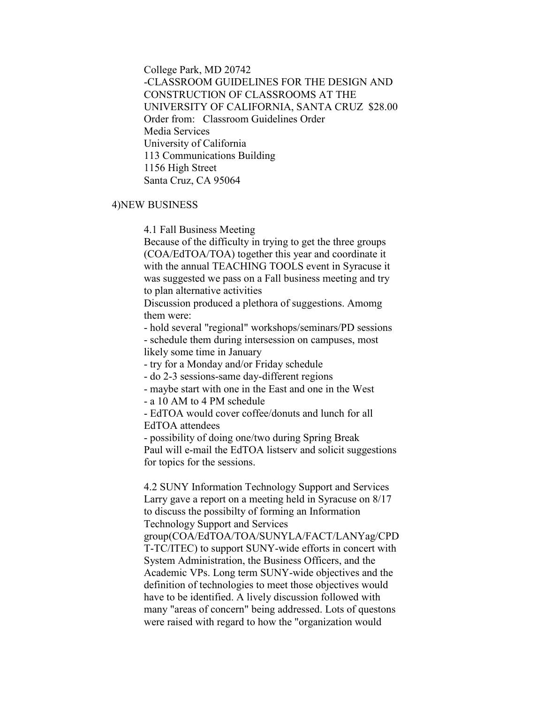College Park, MD 20742 -CLASSROOM GUIDELINES FOR THE DESIGN AND CONSTRUCTION OF CLASSROOMS AT THE UNIVERSITY OF CALIFORNIA, SANTA CRUZ \$28.00 Order from: Classroom Guidelines Order Media Services University of California 113 Communications Building 1156 High Street Santa Cruz, CA 95064

# 4)NEW BUSINESS

4.1 Fall Business Meeting

Because of the difficulty in trying to get the three groups (COA/EdTOA/TOA) together this year and coordinate it with the annual TEACHING TOOLS event in Syracuse it was suggested we pass on a Fall business meeting and try to plan alternative activities

Discussion produced a plethora of suggestions. Amomg them were:

- hold several "regional" workshops/seminars/PD sessions

- schedule them during intersession on campuses, most likely some time in January

- try for a Monday and/or Friday schedule

- do 2-3 sessions-same day-different regions

- maybe start with one in the East and one in the West

- a 10 AM to 4 PM schedule

- EdTOA would cover coffee/donuts and lunch for all EdTOA attendees

- possibility of doing one/two during Spring Break Paul will e-mail the EdTOA listserv and solicit suggestions for topics for the sessions.

4.2 SUNY Information Technology Support and Services Larry gave a report on a meeting held in Syracuse on 8/17 to discuss the possibilty of forming an Information Technology Support and Services group(COA/EdTOA/TOA/SUNYLA/FACT/LANYag/CPD T-TC/ITEC) to support SUNY-wide efforts in concert with System Administration, the Business Officers, and the Academic VPs. Long term SUNY-wide objectives and the definition of technologies to meet those objectives would have to be identified. A lively discussion followed with many "areas of concern" being addressed. Lots of questons were raised with regard to how the "organization would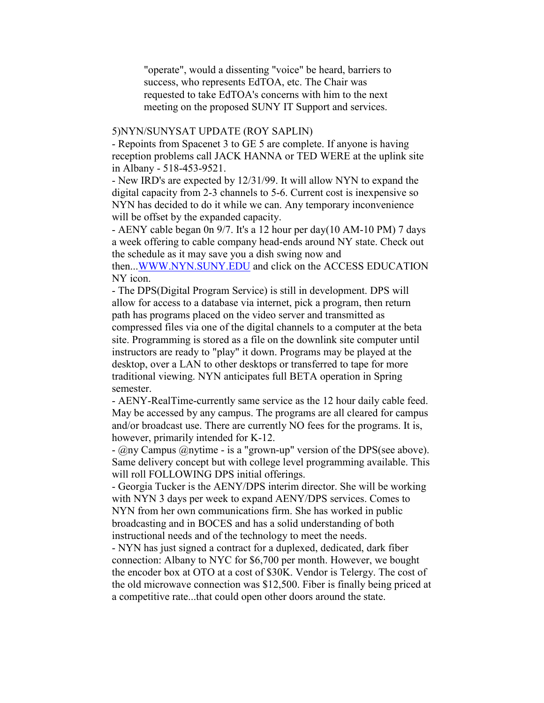"operate", would a dissenting "voice" be heard, barriers to success, who represents EdTOA, etc. The Chair was requested to take EdTOA's concerns with him to the next meeting on the proposed SUNY IT Support and services.

#### 5)NYN/SUNYSAT UPDATE (ROY SAPLIN)

- Repoints from Spacenet 3 to GE 5 are complete. If anyone is having reception problems call JACK HANNA or TED WERE at the uplink site in Albany - 518-453-9521.

- New IRD's are expected by 12/31/99. It will allow NYN to expand the digital capacity from 2-3 channels to 5-6. Current cost is inexpensive so NYN has decided to do it while we can. Any temporary inconvenience will be offset by the expanded capacity.

- AENY cable began 0n 9/7. It's a 12 hour per day(10 AM-10 PM) 7 days a week offering to cable company head-ends around NY state. Check out the schedule as it may save you a dish swing now and

then...WWW.NYN.SUNY.EDU and click on the ACCESS EDUCATION NY icon.

- The DPS(Digital Program Service) is still in development. DPS will allow for access to a database via internet, pick a program, then return path has programs placed on the video server and transmitted as compressed files via one of the digital channels to a computer at the beta site. Programming is stored as a file on the downlink site computer until instructors are ready to "play" it down. Programs may be played at the desktop, over a LAN to other desktops or transferred to tape for more traditional viewing. NYN anticipates full BETA operation in Spring semester.

- AENY-RealTime-currently same service as the 12 hour daily cable feed. May be accessed by any campus. The programs are all cleared for campus and/or broadcast use. There are currently NO fees for the programs. It is, however, primarily intended for K-12.

- @ny Campus @nytime - is a "grown-up" version of the DPS(see above). Same delivery concept but with college level programming available. This will roll FOLLOWING DPS initial offerings.

- Georgia Tucker is the AENY/DPS interim director. She will be working with NYN 3 days per week to expand AENY/DPS services. Comes to NYN from her own communications firm. She has worked in public broadcasting and in BOCES and has a solid understanding of both instructional needs and of the technology to meet the needs.

- NYN has just signed a contract for a duplexed, dedicated, dark fiber connection: Albany to NYC for \$6,700 per month. However, we bought the encoder box at OTO at a cost of \$30K. Vendor is Telergy. The cost of the old microwave connection was \$12,500. Fiber is finally being priced at a competitive rate...that could open other doors around the state.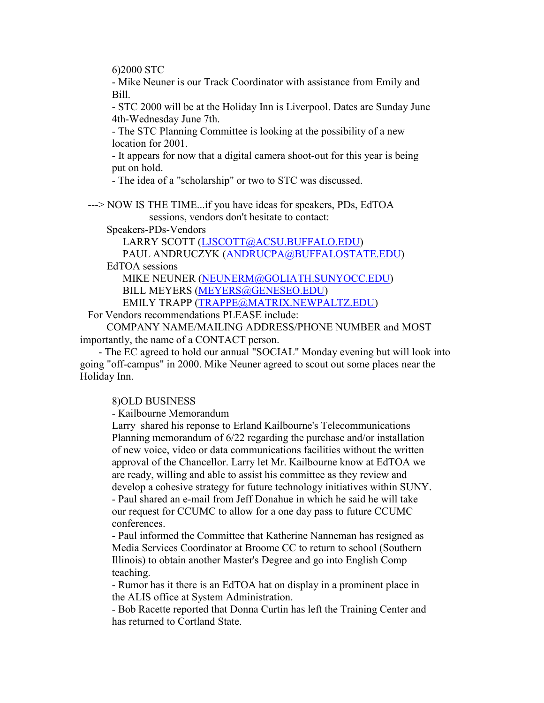6)2000 STC

- Mike Neuner is our Track Coordinator with assistance from Emily and Bill.

- STC 2000 will be at the Holiday Inn is Liverpool. Dates are Sunday June 4th-Wednesday June 7th.

- The STC Planning Committee is looking at the possibility of a new location for 2001.

- It appears for now that a digital camera shoot-out for this year is being put on hold.

- The idea of a "scholarship" or two to STC was discussed.

 ---> NOW IS THE TIME...if you have ideas for speakers, PDs, EdTOA sessions, vendors don't hesitate to contact:

Speakers-PDs-Vendors

LARRY SCOTT (LJSCOTT@ACSU.BUFFALO.EDU)

PAUL ANDRUCZYK (ANDRUCPA@BUFFALOSTATE.EDU)

EdTOA sessions

 MIKE NEUNER (NEUNERM@GOLIATH.SUNYOCC.EDU) BILL MEYERS (MEYERS@GENESEO.EDU)

EMILY TRAPP (TRAPPE@MATRIX.NEWPALTZ.EDU)

For Vendors recommendations PLEASE include:

 COMPANY NAME/MAILING ADDRESS/PHONE NUMBER and MOST importantly, the name of a CONTACT person.

 - The EC agreed to hold our annual "SOCIAL" Monday evening but will look into going "off-campus" in 2000. Mike Neuner agreed to scout out some places near the Holiday Inn.

# 8)OLD BUSINESS

- Kailbourne Memorandum

Larry shared his reponse to Erland Kailbourne's Telecommunications Planning memorandum of 6/22 regarding the purchase and/or installation of new voice, video or data communications facilities without the written approval of the Chancellor. Larry let Mr. Kailbourne know at EdTOA we are ready, willing and able to assist his committee as they review and develop a cohesive strategy for future technology initiatives within SUNY. - Paul shared an e-mail from Jeff Donahue in which he said he will take our request for CCUMC to allow for a one day pass to future CCUMC conferences.

- Paul informed the Committee that Katherine Nanneman has resigned as Media Services Coordinator at Broome CC to return to school (Southern Illinois) to obtain another Master's Degree and go into English Comp teaching.

- Rumor has it there is an EdTOA hat on display in a prominent place in the ALIS office at System Administration.

- Bob Racette reported that Donna Curtin has left the Training Center and has returned to Cortland State.